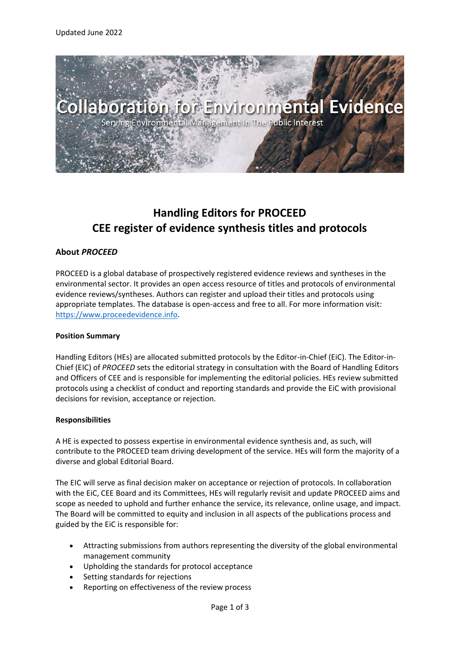

# **Handling Editors for PROCEED CEE register of evidence synthesis titles and protocols**

## **About** *PROCEED*

PROCEED is a global database of prospectively registered evidence reviews and syntheses in the environmental sector. It provides an open access resource of titles and protocols of environmental evidence reviews/syntheses. Authors can register and upload their titles and protocols using appropriate templates. The database is open-access and free to all. For more information visit: [https://www.proceedevidence.info.](https://www.proceedevidence.info/)

### **Position Summary**

Handling Editors (HEs) are allocated submitted protocols by the Editor-in-Chief (EiC). The Editor-in-Chief (EIC) of *PROCEED* sets the editorial strategy in consultation with the Board of Handling Editors and Officers of CEE and is responsible for implementing the editorial policies. HEs review submitted protocols using a checklist of conduct and reporting standards and provide the EiC with provisional decisions for revision, acceptance or rejection.

### **Responsibilities**

A HE is expected to possess expertise in environmental evidence synthesis and, as such, will contribute to the PROCEED team driving development of the service. HEs will form the majority of a diverse and global Editorial Board.

The EIC will serve as final decision maker on acceptance or rejection of protocols. In collaboration with the EiC, CEE Board and its Committees, HEs will regularly revisit and update PROCEED aims and scope as needed to uphold and further enhance the service, its relevance, online usage, and impact. The Board will be committed to equity and inclusion in all aspects of the publications process and guided by the EiC is responsible for:

- Attracting submissions from authors representing the diversity of the global environmental management community
- Upholding the standards for protocol acceptance
- Setting standards for rejections
- Reporting on effectiveness of the review process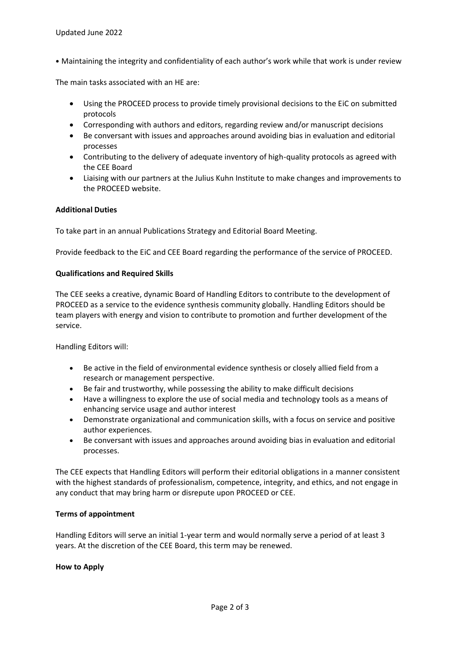• Maintaining the integrity and confidentiality of each author's work while that work is under review

The main tasks associated with an HE are:

- Using the PROCEED process to provide timely provisional decisions to the EiC on submitted protocols
- Corresponding with authors and editors, regarding review and/or manuscript decisions
- Be conversant with issues and approaches around avoiding bias in evaluation and editorial processes
- Contributing to the delivery of adequate inventory of high-quality protocols as agreed with the CEE Board
- Liaising with our partners at the Julius Kuhn Institute to make changes and improvements to the PROCEED website.

### **Additional Duties**

To take part in an annual Publications Strategy and Editorial Board Meeting.

Provide feedback to the EiC and CEE Board regarding the performance of the service of PROCEED.

### **Qualifications and Required Skills**

The CEE seeks a creative, dynamic Board of Handling Editors to contribute to the development of PROCEED as a service to the evidence synthesis community globally. Handling Editors should be team players with energy and vision to contribute to promotion and further development of the service.

Handling Editors will:

- Be active in the field of environmental evidence synthesis or closely allied field from a research or management perspective.
- Be fair and trustworthy, while possessing the ability to make difficult decisions
- Have a willingness to explore the use of social media and technology tools as a means of enhancing service usage and author interest
- Demonstrate organizational and communication skills, with a focus on service and positive author experiences.
- Be conversant with issues and approaches around avoiding bias in evaluation and editorial processes.

The CEE expects that Handling Editors will perform their editorial obligations in a manner consistent with the highest standards of professionalism, competence, integrity, and ethics, and not engage in any conduct that may bring harm or disrepute upon PROCEED or CEE.

### **Terms of appointment**

Handling Editors will serve an initial 1-year term and would normally serve a period of at least 3 years. At the discretion of the CEE Board, this term may be renewed.

### **How to Apply**